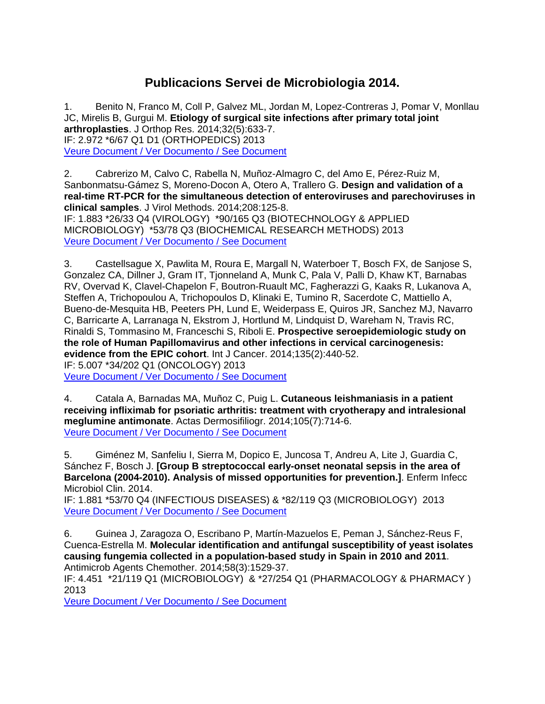## **Publicacions Servei de Microbiologia 2014.**

1. Benito N, Franco M, Coll P, Galvez ML, Jordan M, Lopez-Contreras J, Pomar V, Monllau JC, Mirelis B, Gurgui M. **Etiology of surgical site infections after primary total joint arthroplasties**. J Orthop Res. 2014;32(5):633-7. IF: 2.972 \*6/67 Q1 D1 (ORTHOPEDICS) 2013 [Veure Document / Ver Documento / See Document](http://www.ncbi.nlm.nih.gov/entrez/query.fcgi?cmd=Retrieve&db=PubMed&dopt=Citation&list_uids=24436163)

2. Cabrerizo M, Calvo C, Rabella N, Muñoz-Almagro C, del Amo E, Pérez-Ruiz M, Sanbonmatsu-Gámez S, Moreno-Docon A, Otero A, Trallero G. **Design and validation of a real-time RT-PCR for the simultaneous detection of enteroviruses and parechoviruses in clinical samples**. J Virol Methods. 2014;208:125-8. IF: 1.883 \*26/33 Q4 (VIROLOGY) \*90/165 Q3 (BIOTECHNOLOGY & APPLIED MICROBIOLOGY) \*53/78 Q3 (BIOCHEMICAL RESEARCH METHODS) 2013 [Veure Document / Ver Documento / See Document](http://www.ncbi.nlm.nih.gov/entrez/query.fcgi?cmd=Retrieve&db=PubMed&dopt=Citation&list_uids=25152526)

3. Castellsague X, Pawlita M, Roura E, Margall N, Waterboer T, Bosch FX, de Sanjose S, Gonzalez CA, Dillner J, Gram IT, Tjonneland A, Munk C, Pala V, Palli D, Khaw KT, Barnabas RV, Overvad K, Clavel-Chapelon F, Boutron-Ruault MC, Fagherazzi G, Kaaks R, Lukanova A, Steffen A, Trichopoulou A, Trichopoulos D, Klinaki E, Tumino R, Sacerdote C, Mattiello A, Bueno-de-Mesquita HB, Peeters PH, Lund E, Weiderpass E, Quiros JR, Sanchez MJ, Navarro C, Barricarte A, Larranaga N, Ekstrom J, Hortlund M, Lindquist D, Wareham N, Travis RC, Rinaldi S, Tommasino M, Franceschi S, Riboli E. **Prospective seroepidemiologic study on the role of Human Papillomavirus and other infections in cervical carcinogenesis: evidence from the EPIC cohort**. Int J Cancer. 2014;135(2):440-52. IF: 5.007 \*34/202 Q1 (ONCOLOGY) 2013

[Veure Document / Ver Documento / See Document](http://www.ncbi.nlm.nih.gov/entrez/query.fcgi?cmd=Retrieve&db=PubMed&dopt=Citation&list_uids=24338606)

4. Catala A, Barnadas MA, Muñoz C, Puig L. **Cutaneous leishmaniasis in a patient receiving infliximab for psoriatic arthritis: treatment with cryotherapy and intralesional meglumine antimonate**. Actas Dermosifiliogr. 2014;105(7):714-6. [Veure Document / Ver Documento / See Document](http://www.ncbi.nlm.nih.gov/entrez/query.fcgi?cmd=Retrieve&db=PubMed&dopt=Citation&list_uids=24275564)

5. Giménez M, Sanfeliu I, Sierra M, Dopico E, Juncosa T, Andreu A, Lite J, Guardia C, Sánchez F, Bosch J. **[Group B streptococcal early-onset neonatal sepsis in the area of Barcelona (2004-2010). Analysis of missed opportunities for prevention.]**. Enferm Infecc Microbiol Clin. 2014.

IF: 1.881 \*53/70 Q4 (INFECTIOUS DISEASES) & \*82/119 Q3 (MICROBIOLOGY) 2013 [Veure Document / Ver Documento / See Document](http://www.ncbi.nlm.nih.gov/entrez/query.fcgi?cmd=Retrieve&db=PubMed&dopt=Citation&list_uids=25541009)

6. Guinea J, Zaragoza O, Escribano P, Martín-Mazuelos E, Peman J, Sánchez-Reus F, Cuenca-Estrella M. **Molecular identification and antifungal susceptibility of yeast isolates causing fungemia collected in a population-based study in Spain in 2010 and 2011**. Antimicrob Agents Chemother. 2014;58(3):1529-37.

IF: 4.451 \*21/119 Q1 (MICROBIOLOGY) & \*27/254 Q1 (PHARMACOLOGY & PHARMACY ) 2013

[Veure Document / Ver Documento / See Document](http://www.ncbi.nlm.nih.gov/entrez/query.fcgi?cmd=Retrieve&db=PubMed&dopt=Citation&list_uids=24366741)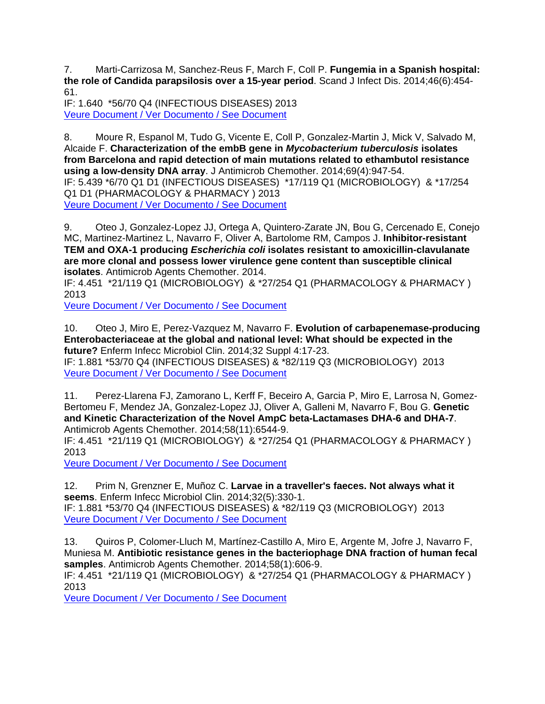7. Marti-Carrizosa M, Sanchez-Reus F, March F, Coll P. **Fungemia in a Spanish hospital: the role of Candida parapsilosis over a 15-year period**. Scand J Infect Dis. 2014;46(6):454- 61.

IF: 1.640 \*56/70 Q4 (INFECTIOUS DISEASES) 2013 [Veure Document / Ver Documento / See Document](http://www.ncbi.nlm.nih.gov/entrez/query.fcgi?cmd=Retrieve&db=PubMed&dopt=Citation&list_uids=24762093)

8. Moure R, Espanol M, Tudo G, Vicente E, Coll P, Gonzalez-Martin J, Mick V, Salvado M, Alcaide F. **Characterization of the embB gene in** *Mycobacterium tuberculosis* **isolates from Barcelona and rapid detection of main mutations related to ethambutol resistance using a low-density DNA array**. J Antimicrob Chemother. 2014;69(4):947-54. IF: 5.439 \*6/70 Q1 D1 (INFECTIOUS DISEASES) \*17/119 Q1 (MICROBIOLOGY) & \*17/254 Q1 D1 (PHARMACOLOGY & PHARMACY ) 2013 [Veure Document / Ver Documento / See Document](http://www.ncbi.nlm.nih.gov/entrez/query.fcgi?cmd=Retrieve&db=PubMed&dopt=Citation&list_uids=24216765)

9. Oteo J, Gonzalez-Lopez JJ, Ortega A, Quintero-Zarate JN, Bou G, Cercenado E, Conejo MC, Martinez-Martinez L, Navarro F, Oliver A, Bartolome RM, Campos J. **Inhibitor-resistant TEM and OXA-1 producing** *Escherichia coli* **isolates resistant to amoxicillin-clavulanate are more clonal and possess lower virulence gene content than susceptible clinical isolates**. Antimicrob Agents Chemother. 2014.

IF: 4.451 \*21/119 Q1 (MICROBIOLOGY) & \*27/254 Q1 (PHARMACOLOGY & PHARMACY ) 2013

[Veure Document / Ver Documento / See Document](http://www.ncbi.nlm.nih.gov/entrez/query.fcgi?cmd=Retrieve&db=PubMed&dopt=Citation&list_uids=24777096)

10. Oteo J, Miro E, Perez-Vazquez M, Navarro F. **Evolution of carbapenemase-producing Enterobacteriaceae at the global and national level: What should be expected in the future?** Enferm Infecc Microbiol Clin. 2014;32 Suppl 4:17-23. IF: 1.881 \*53/70 Q4 (INFECTIOUS DISEASES) & \*82/119 Q3 (MICROBIOLOGY) 2013 [Veure Document / Ver Documento / See Document](http://www.ncbi.nlm.nih.gov/entrez/query.fcgi?cmd=Retrieve&db=PubMed&dopt=Citation&list_uids=25542048)

11. Perez-Llarena FJ, Zamorano L, Kerff F, Beceiro A, Garcia P, Miro E, Larrosa N, Gomez-Bertomeu F, Mendez JA, Gonzalez-Lopez JJ, Oliver A, Galleni M, Navarro F, Bou G. **Genetic and Kinetic Characterization of the Novel AmpC beta-Lactamases DHA-6 and DHA-7**. Antimicrob Agents Chemother. 2014;58(11):6544-9.

IF: 4.451 \*21/119 Q1 (MICROBIOLOGY) & \*27/254 Q1 (PHARMACOLOGY & PHARMACY ) 2013

[Veure Document / Ver Documento / See Document](http://www.ncbi.nlm.nih.gov/entrez/query.fcgi?cmd=Retrieve&db=PubMed&dopt=Citation&list_uids=25136023)

12. Prim N, Grenzner E, Muñoz C. **Larvae in a traveller's faeces. Not always what it seems**. Enferm Infecc Microbiol Clin. 2014;32(5):330-1. IF: 1.881 \*53/70 Q4 (INFECTIOUS DISEASES) & \*82/119 Q3 (MICROBIOLOGY) 2013 [Veure Document / Ver Documento / See Document](http://www.ncbi.nlm.nih.gov/entrez/query.fcgi?cmd=Retrieve&db=PubMed&dopt=Citation&list_uids=24656966)

13. Quiros P, Colomer-Lluch M, Martínez-Castillo A, Miro E, Argente M, Jofre J, Navarro F, Muniesa M. **Antibiotic resistance genes in the bacteriophage DNA fraction of human fecal samples**. Antimicrob Agents Chemother. 2014;58(1):606-9.

IF: 4.451 \*21/119 Q1 (MICROBIOLOGY) & \*27/254 Q1 (PHARMACOLOGY & PHARMACY ) 2013

[Veure Document / Ver Documento / See Document](http://www.ncbi.nlm.nih.gov/entrez/query.fcgi?cmd=Retrieve&db=PubMed&dopt=Citation&list_uids=24165177)